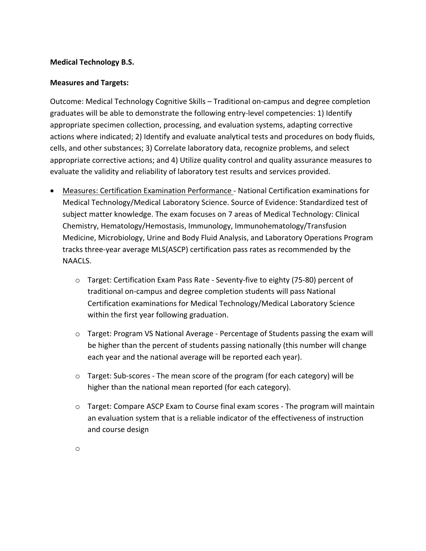## **Medical Technology B.S.**

## **Measures and Targets:**

Outcome: Medical Technology Cognitive Skills – Traditional on-campus and degree completion graduates will be able to demonstrate the following entry-level competencies: 1) Identify appropriate specimen collection, processing, and evaluation systems, adapting corrective actions where indicated; 2) Identify and evaluate analytical tests and procedures on body fluids, cells, and other substances; 3) Correlate laboratory data, recognize problems, and select appropriate corrective actions; and 4) Utilize quality control and quality assurance measures to evaluate the validity and reliability of laboratory test results and services provided.

- Measures: Certification Examination Performance National Certification examinations for Medical Technology/Medical Laboratory Science. Source of Evidence: Standardized test of subject matter knowledge. The exam focuses on 7 areas of Medical Technology: Clinical Chemistry, Hematology/Hemostasis, Immunology, Immunohematology/Transfusion Medicine, Microbiology, Urine and Body Fluid Analysis, and Laboratory Operations Program tracks three-year average MLS(ASCP) certification pass rates as recommended by the NAACLS.
	- o Target: Certification Exam Pass Rate Seventy-five to eighty (75-80) percent of traditional on-campus and degree completion students will pass National Certification examinations for Medical Technology/Medical Laboratory Science within the first year following graduation.
	- $\circ$  Target: Program VS National Average Percentage of Students passing the exam will be higher than the percent of students passing nationally (this number will change each year and the national average will be reported each year).
	- $\circ$  Target: Sub-scores The mean score of the program (for each category) will be higher than the national mean reported (for each category).
	- $\circ$  Target: Compare ASCP Exam to Course final exam scores The program will maintain an evaluation system that is a reliable indicator of the effectiveness of instruction and course design

o